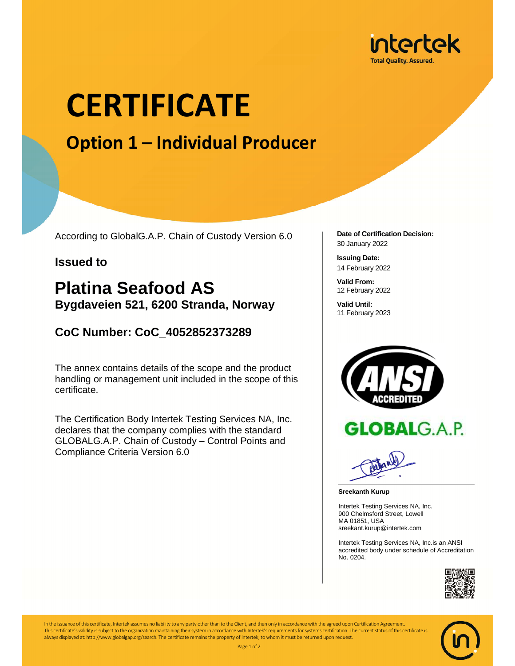

# **CERTIFICATE**

## **Option 1 – Individual Producer**

According to GlobalG.A.P. Chain of Custody Version 6.0

#### **Issued to**

### **Platina Seafood AS Bygdaveien 521, 6200 Stranda, Norway**

### **CoC Number: CoC\_4052852373289**

The annex contains details of the scope and the product handling or management unit included in the scope of this certificate.

The Certification Body Intertek Testing Services NA, Inc. declares that the company complies with the standard GLOBALG.A.P. Chain of Custody – Control Points and Compliance Criteria Version 6.0

**Date of Certification Decision:**  30 January 2022

**Issuing Date:**  14 February 2022

**Valid From:**  12 February 2022

**Valid Until:**  11 February 2023





**Sreekanth Kurup** 

Intertek Testing Services NA, Inc. 900 Chelmsford Street, Lowell MA 01851, USA sreekant.kurup@intertek.com

Intertek Testing Services NA, Inc.is an ANSI accredited body under schedule of Accreditation No. 0204.



In the issuance of this certificate, Intertek assumes no liability to any party other than to the Client, and then only in accordance with the agreed upon Certification Agreement This certificate's validity is subject to the organization maintaining their system in accordance with Intertek's requirements for systems certification. The current status of this certificate is always displayed at: http://www.globalgap.org/search. The certificate remains the property of Intertek, to whom it must be returned upon request. Page 1 of 2